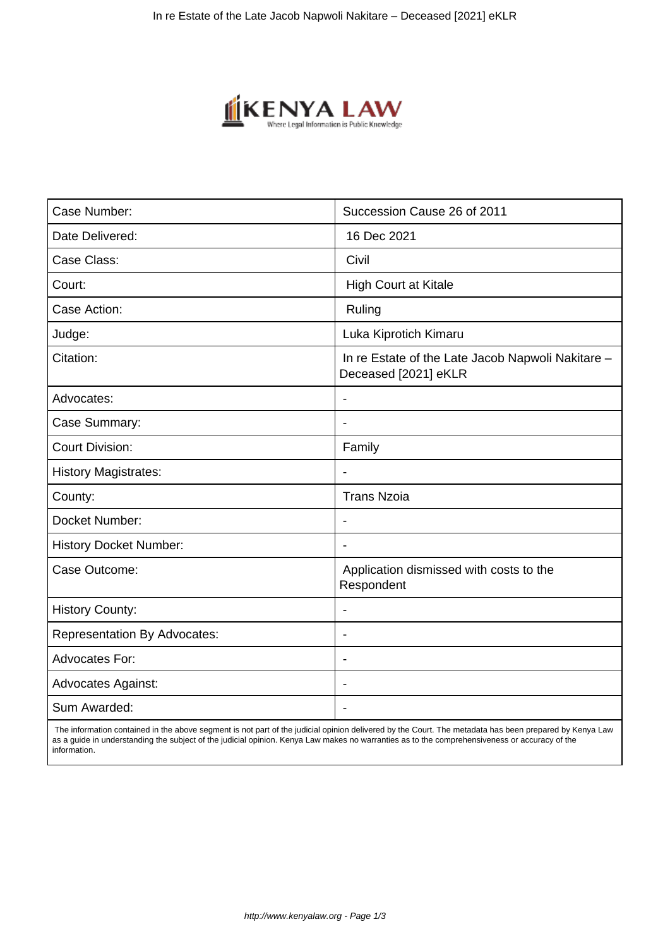

| Case Number:                        | Succession Cause 26 of 2011                                               |
|-------------------------------------|---------------------------------------------------------------------------|
| Date Delivered:                     | 16 Dec 2021                                                               |
| Case Class:                         | Civil                                                                     |
| Court:                              | <b>High Court at Kitale</b>                                               |
| Case Action:                        | Ruling                                                                    |
| Judge:                              | Luka Kiprotich Kimaru                                                     |
| Citation:                           | In re Estate of the Late Jacob Napwoli Nakitare -<br>Deceased [2021] eKLR |
| Advocates:                          | $\blacksquare$                                                            |
| Case Summary:                       | $\blacksquare$                                                            |
| <b>Court Division:</b>              | Family                                                                    |
| <b>History Magistrates:</b>         |                                                                           |
| County:                             | <b>Trans Nzoia</b>                                                        |
| Docket Number:                      | $\overline{\phantom{a}}$                                                  |
| <b>History Docket Number:</b>       |                                                                           |
| Case Outcome:                       | Application dismissed with costs to the<br>Respondent                     |
| <b>History County:</b>              | $\overline{a}$                                                            |
| <b>Representation By Advocates:</b> | ÷                                                                         |
| <b>Advocates For:</b>               | $\overline{\phantom{a}}$                                                  |
| <b>Advocates Against:</b>           |                                                                           |
| Sum Awarded:                        |                                                                           |

 The information contained in the above segment is not part of the judicial opinion delivered by the Court. The metadata has been prepared by Kenya Law as a guide in understanding the subject of the judicial opinion. Kenya Law makes no warranties as to the comprehensiveness or accuracy of the information.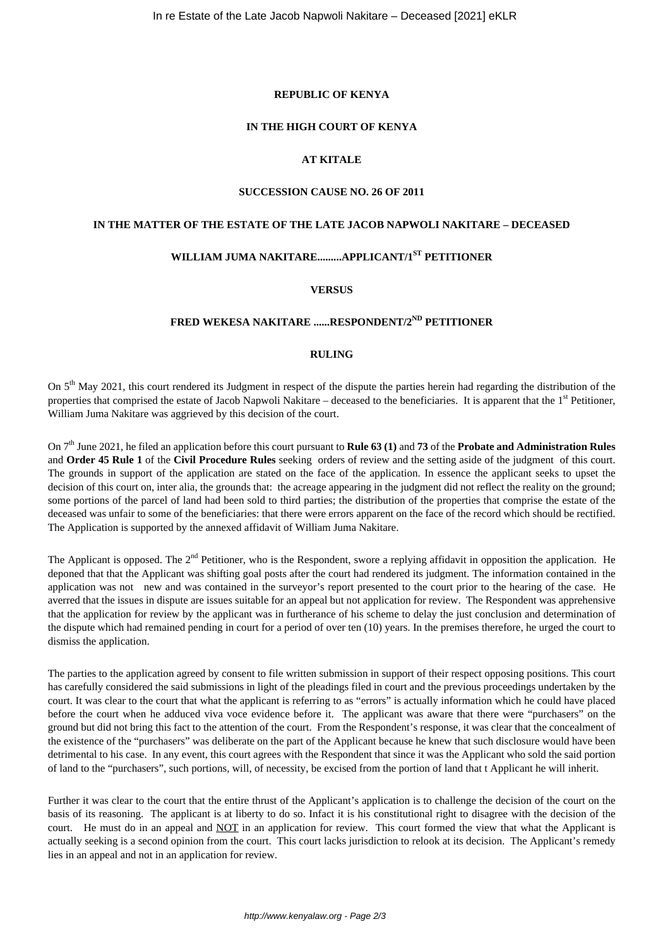#### **REPUBLIC OF KENYA**

#### **IN THE HIGH COURT OF KENYA**

### **AT KITALE**

#### **SUCCESSION CAUSE NO. 26 OF 2011**

#### **IN THE MATTER OF THE ESTATE OF THE LATE JACOB NAPWOLI NAKITARE – DECEASED**

## **WILLIAM JUMA NAKITARE.........APPLICANT/1ST PETITIONER**

#### **VERSUS**

## **FRED WEKESA NAKITARE ......RESPONDENT/2ND PETITIONER**

#### **RULING**

On 5<sup>th</sup> May 2021, this court rendered its Judgment in respect of the dispute the parties herein had regarding the distribution of the properties that comprised the estate of Jacob Napwoli Nakitare – deceased to the beneficiaries. It is apparent that the 1<sup>st</sup> Petitioner, William Juma Nakitare was aggrieved by this decision of the court.

On 7th June 2021, he filed an application before this court pursuant to **Rule 63 (1)** and **73** of the **Probate and Administration Rules** and **Order 45 Rule 1** of the **Civil Procedure Rules** seeking orders of review and the setting aside of the judgment of this court. The grounds in support of the application are stated on the face of the application. In essence the applicant seeks to upset the decision of this court on, inter alia, the grounds that: the acreage appearing in the judgment did not reflect the reality on the ground; some portions of the parcel of land had been sold to third parties; the distribution of the properties that comprise the estate of the deceased was unfair to some of the beneficiaries: that there were errors apparent on the face of the record which should be rectified. The Application is supported by the annexed affidavit of William Juma Nakitare.

The Applicant is opposed. The 2<sup>nd</sup> Petitioner, who is the Respondent, swore a replying affidavit in opposition the application. He deponed that that the Applicant was shifting goal posts after the court had rendered its judgment. The information contained in the application was not new and was contained in the surveyor's report presented to the court prior to the hearing of the case. He averred that the issues in dispute are issues suitable for an appeal but not application for review. The Respondent was apprehensive that the application for review by the applicant was in furtherance of his scheme to delay the just conclusion and determination of the dispute which had remained pending in court for a period of over ten (10) years. In the premises therefore, he urged the court to dismiss the application.

The parties to the application agreed by consent to file written submission in support of their respect opposing positions. This court has carefully considered the said submissions in light of the pleadings filed in court and the previous proceedings undertaken by the court. It was clear to the court that what the applicant is referring to as "errors" is actually information which he could have placed before the court when he adduced viva voce evidence before it. The applicant was aware that there were "purchasers" on the ground but did not bring this fact to the attention of the court. From the Respondent's response, it was clear that the concealment of the existence of the "purchasers" was deliberate on the part of the Applicant because he knew that such disclosure would have been detrimental to his case. In any event, this court agrees with the Respondent that since it was the Applicant who sold the said portion of land to the "purchasers", such portions, will, of necessity, be excised from the portion of land that t Applicant he will inherit.

Further it was clear to the court that the entire thrust of the Applicant's application is to challenge the decision of the court on the basis of its reasoning. The applicant is at liberty to do so. Infact it is his constitutional right to disagree with the decision of the court. He must do in an appeal and NOT in an application for review. This court formed the view that what the Applicant is actually seeking is a second opinion from the court. This court lacks jurisdiction to relook at its decision. The Applicant's remedy lies in an appeal and not in an application for review.